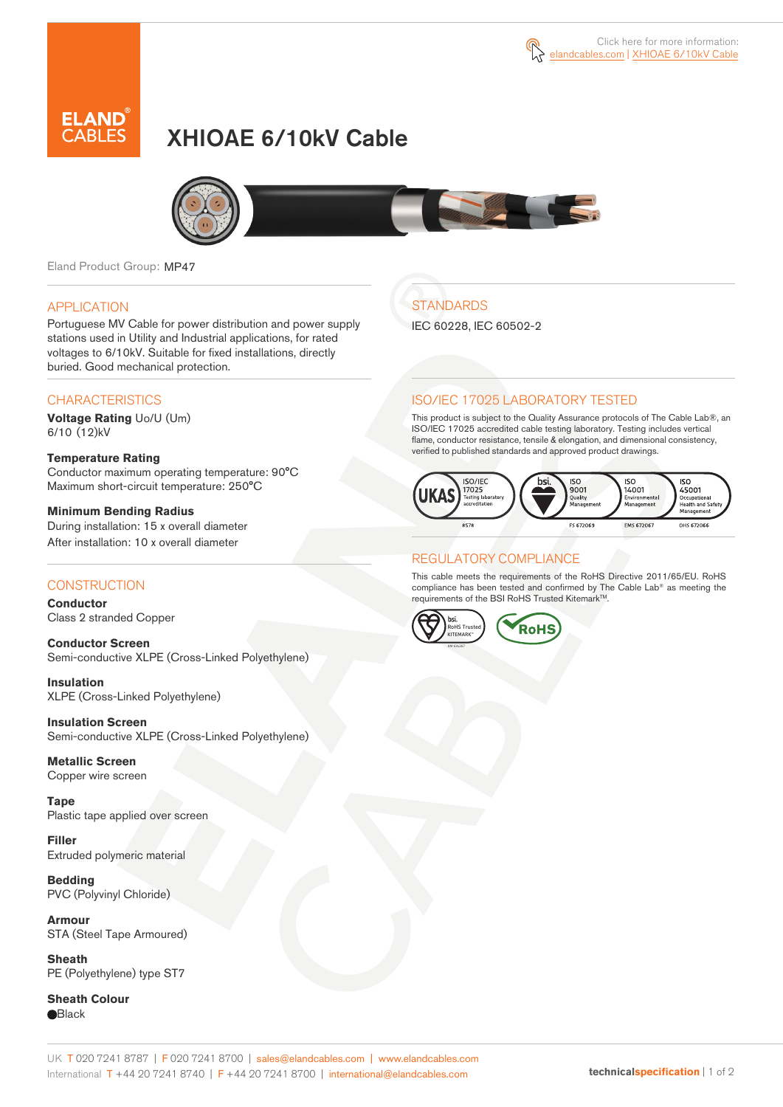

# XHIOAE 6/10kV Cable



Eland Product Group: MP47

#### APPLICATION

Portuguese MV Cable for power distribution and power supply stations used in Utility and Industrial applications, for rated voltages to 6/10kV. Suitable for fixed installations, directly buried. Good mechanical protection.

### **CHARACTERISTICS**

**Voltage Rating** Uo/U (Um) 6/10 (12)kV

#### **Temperature Rating**  Conductor maximum operating temperature: 90°C Maximum short-circuit temperature: 250°C

**Minimum Bending Radius**  During installation: 15 x overall diameter After installation: 10 x overall diameter

### **CONSTRUCTION**

**Conductor**  Class 2 stranded Copper

**Conductor Screen** Semi-conductive XLPE (Cross-Linked Polyethylene)

**Insulation** XLPE (Cross-Linked Polyethylene)

**Insulation Screen** Semi-conductive XLPE (Cross-Linked Polyethylene)

**Metallic Screen**  Copper wire screen

**Tape** Plastic tape applied over screen

**Filler** Extruded polymeric material

**Bedding** PVC (Polyvinyl Chloride)

**Armour** STA (Steel Tape Armoured)

**Sheath** PE (Polyethylene) type ST7

**Sheath Colour Black** 

## **STANDARDS**

IEC 60228, IEC 60502-2

### ISO/IEC 17025 LABORATORY TESTED

This product is subject to the Quality Assurance protocols of The Cable Lab®, an ISO/IEC 17025 accredited cable testing laboratory. Testing includes vertical flame, conductor resistance, tensile & elongation, and dimensional consistency, verified to published standards and approved product drawings.



### REGULATORY COMPLIANCE

This cable meets the requirements of the RoHS Directive 2011/65/EU. RoHS compliance has been tested and confirmed by The Cable Lab® as meeting the requirements of the BSI RoHS Trusted Kitemark™.